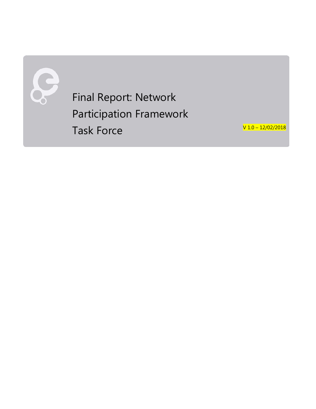

Final Report: Network Participation Framework Task Force

V 1. 0 – 12/02/2018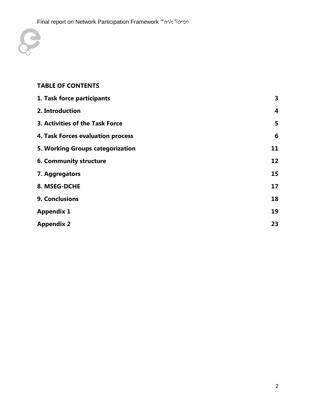

### **TABLE OF CONTENTS**

| 1. Task force participants        | 3                |
|-----------------------------------|------------------|
| 2. Introduction                   | $\boldsymbol{4}$ |
| 3. Activities of the Task Force   | 5                |
| 4. Task Forces evaluation process | 6                |
| 5. Working Groups categorization  | 11               |
| 6. Community structure            | 12               |
| 7. Aggregators                    | 15               |
| 8. MSEG-DCHE                      | 17               |
| 9. Conclusions                    | 18               |
| <b>Appendix 1</b>                 | 19               |
| <b>Appendix 2</b>                 | 23               |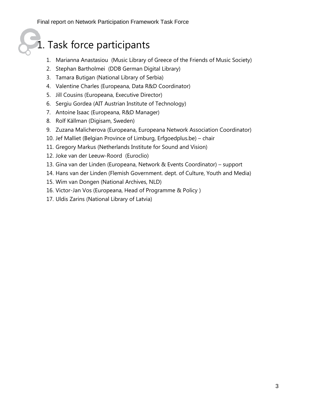## 1. Task force participants

- 1. Marianna Anastasiou (Music Library of Greece of the Friends of Music Society)
- 2. Stephan Bartholmei (DDB German Digital Library)
- 3. Tamara Butigan (National Library of Serbia)
- 4. Valentine Charles (Europeana, Data R&D Coordinator)
- 5. Jill Cousins (Europeana, Executive Director)
- 6. Sergiu Gordea (AIT Austrian Institute of Technology)
- 7. Antoine Isaac (Europeana, R&D Manager)
- 8. Rolf Källman (Digisam, Sweden)
- 9. Zuzana Malicherova (Europeana, Europeana Network Association Coordinator)
- 10. Jef Malliet (Belgian Province of Limburg, Erfgoedplus.be) chair
- 11. Gregory Markus (Netherlands Institute for Sound and Vision)
- 12. Joke van der Leeuw-Roord (Euroclio)
- 13. Gina van der Linden (Europeana, Network & Events Coordinator) support
- 14. Hans van der Linden (Flemish Government. dept. of Culture, Youth and Media)
- 15. Wim van Dongen (National Archives, NLD)
- 16. Victor-Jan Vos (Europeana, Head of Programme & Policy )
- 17. Uldis Zarins (National Library of Latvia)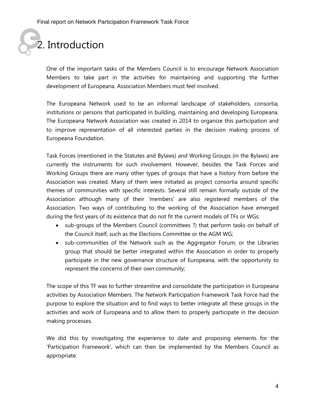# 2. Introduction

One of the important tasks of the Members Council is to encourage Network Association Members to take part in the activities for maintaining and supporting the further development of Europeana. Association Members must feel involved.

The Europeana Network used to be an informal landscape of stakeholders, consortia, institutions or persons that participated in building, maintaining and developing Europeana. The Europeana Network Association was created in 2014 to organize this participation and to improve representation of all interested parties in the decision making process of Europeana Foundation.

Task Forces (mentioned in the Statutes and Bylaws) and Working Groups (in the Bylaws) are currently the instruments for such involvement. However, besides the Task Forces and Working Groups there are many other types of groups that have a history from before the Association was created. Many of them were initiated as project consortia around specific themes of communities with specific interests. Several still remain formally outside of the Association although many of their 'members' are also registered members of the Association. Two ways of contributing to the working of the Association have emerged during the first years of its existence that do not fit the current models of TFs or WGs:

- sub-groups of the Members Council (committees ?) that perform tasks on behalf of the Council itself, such as the Elections Committee or the AGM WG;
- sub-communities of the Network such as the Aggregator Forum, or the Libraries group that should be better integrated within the Association in order to properly participate in the new governance structure of Europeana, with the opportunity to represent the concerns of their own community;

The scope of this TF was to further streamline and consolidate the participation in Europeana activities by Association Members. The Network Participation Framework Task Force had the purpose to explore the situation and to find ways to better integrate all these groups in the activities and work of Europeana and to allow them to properly participate in the decision making processes.

We did this by investigating the experience to date and proposing elements for the 'Participation Framework', which can then be implemented by the Members Council as appropriate.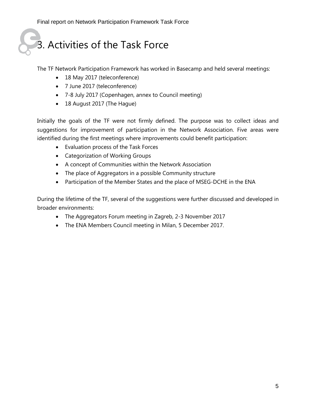## 3. Activities of the Task Force

The TF Network Participation Framework has worked in Basecamp and held several meetings:

- 18 May 2017 (teleconference)
- 7 June 2017 (teleconference)
- 7-8 July 2017 (Copenhagen, annex to Council meeting)
- 18 August 2017 (The Hague)

Initially the goals of the TF were not firmly defined. The purpose was to collect ideas and suggestions for improvement of participation in the Network Association. Five areas were identified during the first meetings where improvements could benefit participation:

- Evaluation process of the Task Forces
- Categorization of Working Groups
- A concept of Communities within the Network Association
- The place of Aggregators in a possible Community structure
- Participation of the Member States and the place of MSEG-DCHE in the ENA

During the lifetime of the TF, several of the suggestions were further discussed and developed in broader environments:

- The Aggregators Forum meeting in Zagreb, 2-3 November 2017
- The ENA Members Council meeting in Milan, 5 December 2017.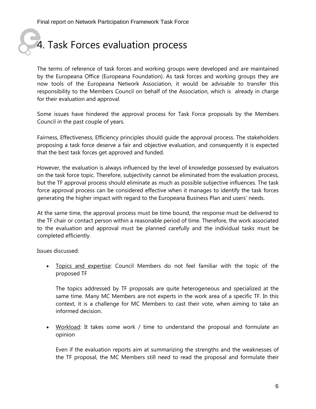# 4. Task Forces evaluation process

The terms of reference of task forces and working groups were developed and are maintained by the Europeana Office (Europeana Foundation). As task forces and working groups they are now tools of the Europeana Network Association, it would be advisable to transfer this responsibility to the Members Council on behalf of the Association, which is already in charge for their evaluation and approval.

Some issues have hindered the approval process for Task Force proposals by the Members Council in the past couple of years.

Fairness, Effectiveness, Efficiency principles should guide the approval process. The stakeholders proposing a task force deserve a fair and objective evaluation, and consequently it is expected that the best task forces get approved and funded.

However, the evaluation is always influenced by the level of knowledge possessed by evaluators on the task force topic. Therefore, subjectivity cannot be eliminated from the evaluation process, but the TF approval process should eliminate as much as possible subjective influences. The task force approval process can be considered effective when it manages to identify the task forces generating the higher impact with regard to the Europeana Business Plan and users' needs.

At the same time, the approval process must be time bound, the response must be delivered to the TF chair or contact person within a reasonable period of time. Therefore, the work associated to the evaluation and approval must be planned carefully and the individual tasks must be completed efficiently.

Issues discussed:

• Topics and expertise: Council Members do not feel familiar with the topic of the proposed TF

The topics addressed by TF proposals are quite heterogeneous and specialized at the same time. Many MC Members are not experts in the work area of a specific TF. In this context, it is a challenge for MC Members to cast their vote, when aiming to take an informed decision.

• Workload: It takes some work / time to understand the proposal and formulate an opinion

Even if the evaluation reports aim at summarizing the strengths and the weaknesses of the TF proposal, the MC Members still need to read the proposal and formulate their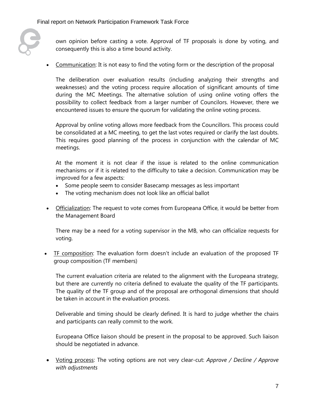

own opinion before casting a vote. Approval of TF proposals is done by voting, and consequently this is also a time bound activity.

• Communication: It is not easy to find the voting form or the description of the proposal

The deliberation over evaluation results (including analyzing their strengths and weaknesses) and the voting process require allocation of significant amounts of time during the MC Meetings. The alternative solution of using online voting offers the possibility to collect feedback from a larger number of Councilors. However, there we encountered issues to ensure the quorum for validating the online voting process.

Approval by online voting allows more feedback from the Councillors. This process could be consolidated at a MC meeting, to get the last votes required or clarify the last doubts. This requires good planning of the process in conjunction with the calendar of MC meetings.

At the moment it is not clear if the issue is related to the online communication mechanisms or if it is related to the difficulty to take a decision. Communication may be improved for a few aspects:

- Some people seem to consider Basecamp messages as less important
- The voting mechanism does not look like an official ballot
- Officialization: The request to vote comes from Europeana Office, it would be better from the Management Board

There may be a need for a voting supervisor in the MB, who can officialize requests for voting.

• TF composition: The evaluation form doesn't include an evaluation of the proposed TF group composition (TF members)

The current evaluation criteria are related to the alignment with the Europeana strategy, but there are currently no criteria defined to evaluate the quality of the TF participants. The quality of the TF group and of the proposal are orthogonal dimensions that should be taken in account in the evaluation process.

Deliverable and timing should be clearly defined. It is hard to judge whether the chairs and participants can really commit to the work.

Europeana Office liaison should be present in the proposal to be approved. Such liaison should be negotiated in advance.

• Voting process: The voting options are not very clear-cut: *Approve / Decline / Approve with adjustments*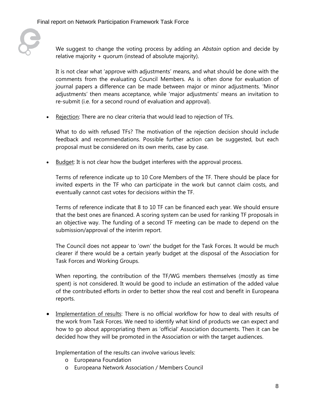

We suggest to change the voting process by adding an *Abstain* option and decide by relative majority + quorum (instead of absolute majority).

It is not clear what 'approve with adjustments' means, and what should be done with the comments from the evaluating Council Members. As is often done for evaluation of journal papers a difference can be made between major or minor adjustments. 'Minor adjustments' then means acceptance, while 'major adjustments' means an invitation to re-submit (i.e. for a second round of evaluation and approval).

• Rejection: There are no clear criteria that would lead to rejection of TFs.

What to do with refused TFs? The motivation of the rejection decision should include feedback and recommendations. Possible further action can be suggested, but each proposal must be considered on its own merits, case by case.

• Budget: It is not clear how the budget interferes with the approval process.

Terms of reference indicate up to 10 Core Members of the TF. There should be place for invited experts in the TF who can participate in the work but cannot claim costs, and eventually cannot cast votes for decisions within the TF.

Terms of reference indicate that 8 to 10 TF can be financed each year. We should ensure that the best ones are financed. A scoring system can be used for ranking TF proposals in an objective way. The funding of a second TF meeting can be made to depend on the submission/approval of the interim report.

The Council does not appear to 'own' the budget for the Task Forces. It would be much clearer if there would be a certain yearly budget at the disposal of the Association for Task Forces and Working Groups.

When reporting, the contribution of the TF/WG members themselves (mostly as time spent) is not considered. It would be good to include an estimation of the added value of the contributed efforts in order to better show the real cost and benefit in Europeana reports.

• Implementation of results: There is no official workflow for how to deal with results of the work from Task Forces. We need to identify what kind of products we can expect and how to go about appropriating them as 'official' Association documents. Then it can be decided how they will be promoted in the Association or with the target audiences.

Implementation of the results can involve various levels:

- o Europeana Foundation
- o Europeana Network Association / Members Council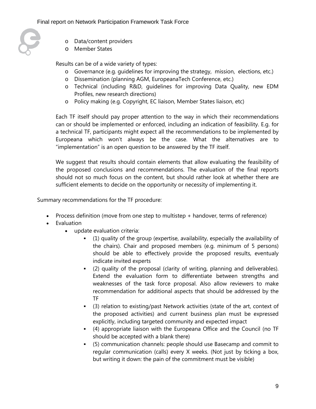

- o Data/content providers
- o Member States

Results can be of a wide variety of types:

- o Governance (e.g. guidelines for improving the strategy, mission, elections, etc.)
- o Dissemination (planning AGM, EuropeanaTech Conference, etc.)
- o Technical (including R&D, guidelines for improving Data Quality, new EDM Profiles, new research directions)
- o Policy making (e.g. Copyright, EC liaison, Member States liaison, etc)

Each TF itself should pay proper attention to the way in which their recommendations can or should be implemented or enforced, including an indication of feasibility. E.g. for a technical TF, participants might expect all the recommendations to be implemented by Europeana which won't always be the case. What the alternatives are to "implementation" is an open question to be answered by the TF itself.

We suggest that results should contain elements that allow evaluating the feasibility of the proposed conclusions and recommendations. The evaluation of the final reports should not so much focus on the content, but should rather look at whether there are sufficient elements to decide on the opportunity or necessity of implementing it.

Summary recommendations for the TF procedure:

- Process definition (move from one step to multistep + handover, terms of reference)
- Evaluation
	- update evaluation criteria:
		- (1) quality of the group (expertise, availability, especially the availability of the chairs). Chair and proposed members (e.g. minimum of 5 persons) should be able to effectively provide the proposed results, eventualy indicate invited experts
		- (2) quality of the proposal (clarity of writing, planning and deliverables). Extend the evaluation form to differentiate between strengths and weaknesses of the task force proposal. Also allow reviewers to make recommendation for additional aspects that should be addressed by the TF
		- (3) relation to existing/past Network activities (state of the art, context of the proposed activities) and current business plan must be expressed explicitly, including targeted community and expected impact
		- (4) appropriate liaison with the Europeana Office and the Council (no TF should be accepted with a blank there)
		- (5) communication channels: people should use Basecamp and commit to regular communication (calls) every X weeks. (Not just by ticking a box, but writing it down: the pain of the commitment must be visible)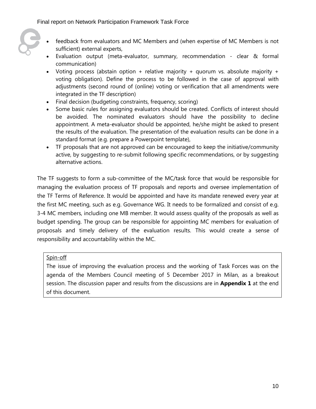- 
- feedback from evaluators and MC Members and (when expertise of MC Members is not sufficient) external experts,
- Evaluation output (meta-evaluator, summary, recommendation clear & formal communication)
- Voting process (abstain option + relative majority + quorum vs. absolute majority + voting obligation). Define the process to be followed in the case of approval with adjustments (second round of (online) voting or verification that all amendments were integrated in the TF description)
- Final decision (budgeting constraints, frequency, scoring)
- Some basic rules for assigning evaluators should be created. Conflicts of interest should be avoided. The nominated evaluators should have the possibility to decline appointment. A meta-evaluator should be appointed, he/she might be asked to present the results of the evaluation. The presentation of the evaluation results can be done in a standard format (e.g. prepare a Powerpoint template),
- TF proposals that are not approved can be encouraged to keep the initiative/community active, by suggesting to re-submit following specific recommendations, or by suggesting alternative actions.

The TF suggests to form a sub-committee of the MC/task force that would be responsible for managing the evaluation process of TF proposals and reports and oversee implementation of the TF Terms of Reference. It would be appointed and have its mandate renewed every year at the first MC meeting, such as e.g. Governance WG. It needs to be formalized and consist of e.g. 3-4 MC members, including one MB member. It would assess quality of the proposals as well as budget spending. The group can be responsible for appointing MC members for evaluation of proposals and timely delivery of the evaluation results. This would create a sense of responsibility and accountability within the MC.

#### Spin-off

The issue of improving the evaluation process and the working of Task Forces was on the agenda of the Members Council meeting of 5 December 2017 in Milan, as a breakout session. The discussion paper and results from the discussions are in **Appendix 1** at the end of this document.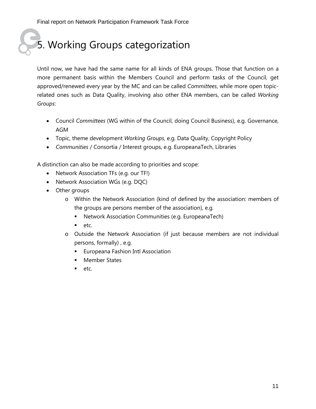Final report on Network Participation Framework Task Force

# 5. Working Groups categorization

Until now, we have had the same name for all kinds of ENA groups. Those that function on a more permanent basis within the Members Council and perform tasks of the Council, get approved/renewed every year by the MC and can be called *Committees*, while more open topicrelated ones such as Data Quality, involving also other ENA members, can be called *Working Groups*:

- Council *Committees* (WG within of the Council, doing Council Business), e.g. Governance, AGM
- Topic, theme development *Working Groups*, e.g. Data Quality, Copyright Policy
- *Communities* / Consortia / Interest groups, e.g. EuropeanaTech, Libraries

A distinction can also be made according to priorities and scope:

- Network Association TFs (e.g. our TF!)
- Network Association WGs (e.g. DQC)
- Other groups
	- o Within the Network Association (kind of defined by the association: members of the groups are persons member of the association), e.g.
		- Network Association Communities (e.g. EuropeanaTech)
		- $e$ tc.
	- o Outside the Network Association (if just because members are not individual persons, formally) , e.g.
		- **Europeana Fashion Intl Association**
		- **Member States**
		- $etc.$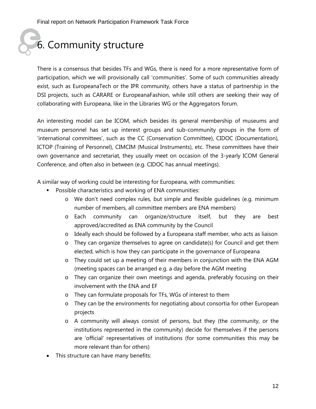## 6. Community structure

There is a consensus that besides TFs and WGs, there is need for a more representative form of participation, which we will provisionally call 'communities'. Some of such communities already exist, such as EuropeanaTech or the IPR community, others have a status of partnership in the DSI projects, such as CARARE or EuropeanaFashion, while still others are seeking their way of collaborating with Europeana, like in the Libraries WG or the Aggregators forum.

An interesting model can be ICOM, which besides its general membership of museums and museum personnel has set up interest groups and sub-community groups in the form of 'international committees', such as the CC (Conservation Committee), CIDOC (Documentation), ICTOP (Training of Personnel), CIMCIM (Musical Instruments), etc. These committees have their own governance and secretariat, they usually meet on occasion of the 3-yearly ICOM General Conference, and often also in between (e.g. CIDOC has annual meetings).

A similar way of working could be interesting for Europeana, with communities:

- Possible characteristics and working of ENA communities:
	- o We don't need complex rules, but simple and flexible guidelines (e.g. minimum number of members, all committee members are ENA members)
	- o Each community can organize/structure itself, but they are best approved/accredited as ENA community by the Council
	- o Ideally each should be followed by a Europeana staff member, who acts as liaison
	- o They can organize themselves to agree on candidate(s) for Council and get them elected, which is how they can participate in the governance of Europeana
	- o They could set up a meeting of their members in conjunction with the ENA AGM (meeting spaces can be arranged e.g. a day before the AGM meeting
	- o They can organize their own meetings and agenda, preferably focusing on their involvement with the ENA and EF
	- o They can formulate proposals for TFs, WGs of interest to them
	- o They can be the environments for negotiating about consortia for other European projects
	- o A community will always consist of persons, but they (the community, or the institutions represented in the community) decide for themselves if the persons are 'official' representatives of institutions (for some communities this may be more relevant than for others)
- This structure can have many benefits: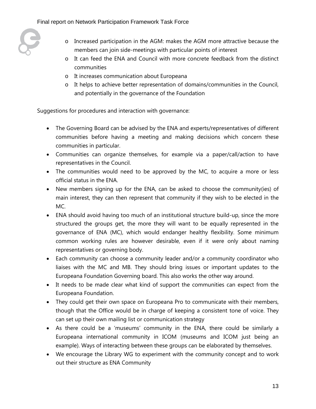

- o Increased participation in the AGM: makes the AGM more attractive because the members can join side-meetings with particular points of interest
- o It can feed the ENA and Council with more concrete feedback from the distinct communities
- o It increases communication about Europeana
- o It helps to achieve better representation of domains/communities in the Council, and potentially in the governance of the Foundation

Suggestions for procedures and interaction with governance:

- The Governing Board can be advised by the ENA and experts/representatives of different communities before having a meeting and making decisions which concern these communities in particular.
- Communities can organize themselves, for example via a paper/call/action to have representatives in the Council.
- The communities would need to be approved by the MC, to acquire a more or less official status in the ENA.
- New members signing up for the ENA, can be asked to choose the community(ies) of main interest, they can then represent that community if they wish to be elected in the MC.
- ENA should avoid having too much of an institutional structure build-up, since the more structured the groups get, the more they will want to be equally represented in the governance of ENA (MC), which would endanger healthy flexibility. Some minimum common working rules are however desirable, even if it were only about naming representatives or governing body.
- Each community can choose a community leader and/or a community coordinator who liaises with the MC and MB. They should bring issues or important updates to the Europeana Foundation Governing board. This also works the other way around.
- It needs to be made clear what kind of support the communities can expect from the Europeana Foundation.
- They could get their own space on Europeana Pro to communicate with their members, though that the Office would be in charge of keeping a consistent tone of voice. They can set up their own mailing list or communication strategy
- As there could be a 'museums' community in the ENA, there could be similarly a Europeana international community in ICOM (museums and ICOM just being an example). Ways of interacting between these groups can be elaborated by themselves.
- We encourage the Library WG to experiment with the community concept and to work out their structure as ENA Community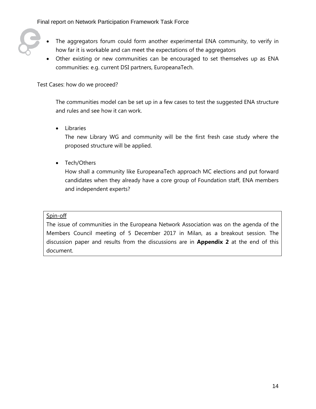

- The aggregators forum could form another experimental ENA community, to verify in how far it is workable and can meet the expectations of the aggregators
- Other existing or new communities can be encouraged to set themselves up as ENA communities: e.g. current DSI partners, EuropeanaTech.

Test Cases: how do we proceed?

The communities model can be set up in a few cases to test the suggested ENA structure and rules and see how it can work.

• Libraries

The new Library WG and community will be the first fresh case study where the proposed structure will be applied.

• Tech/Others

How shall a community like EuropeanaTech approach MC elections and put forward candidates when they already have a core group of Foundation staff, ENA members and independent experts?

#### Spin-off

The issue of communities in the Europeana Network Association was on the agenda of the Members Council meeting of 5 December 2017 in Milan, as a breakout session. The discussion paper and results from the discussions are in **Appendix 2** at the end of this document.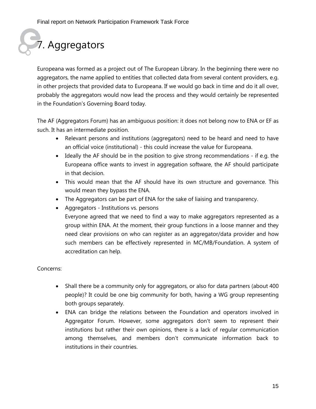# 7. Aggregators

Europeana was formed as a project out of The European Library. In the beginning there were no aggregators, the name applied to entities that collected data from several content providers, e.g. in other projects that provided data to Europeana. If we would go back in time and do it all over, probably the aggregators would now lead the process and they would certainly be represented in the Foundation's Governing Board today.

The AF (Aggregators Forum) has an ambiguous position: it does not belong now to ENA or EF as such. It has an intermediate position.

- Relevant persons and institutions (aggregators) need to be heard and need to have an official voice (institutional) - this could increase the value for Europeana.
- Ideally the AF should be in the position to give strong recommendations if e.g. the Europeana office wants to invest in aggregation software, the AF should participate in that decision.
- This would mean that the AF should have its own structure and governance. This would mean they bypass the ENA.
- The Aggregators can be part of ENA for the sake of liaising and transparency.
- Aggregators Institutions vs. persons Everyone agreed that we need to find a way to make aggregators represented as a group within ENA. At the moment, their group functions in a loose manner and they need clear provisions on who can register as an aggregator/data provider and how such members can be effectively represented in MC/MB/Foundation. A system of accreditation can help.

#### Concerns:

- Shall there be a community only for aggregators, or also for data partners (about 400) people)? It could be one big community for both, having a WG group representing both groups separately.
- ENA can bridge the relations between the Foundation and operators involved in Aggregator Forum. However, some aggregators don't seem to represent their institutions but rather their own opinions, there is a lack of regular communication among themselves, and members don't communicate information back to institutions in their countries.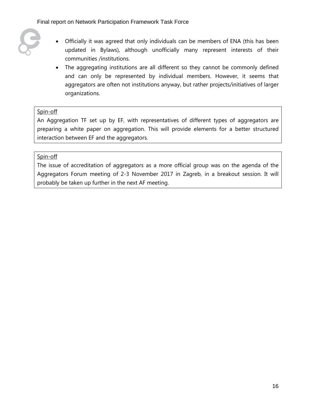- 
- Officially it was agreed that only individuals can be members of ENA (this has been updated in Bylaws), although unofficially many represent interests of their communities /institutions.
- The aggregating institutions are all different so they cannot be commonly defined and can only be represented by individual members. However, it seems that aggregators are often not institutions anyway, but rather projects/initiatives of larger organizations.

#### Spin-off

An Aggregation TF set up by EF, with representatives of different types of aggregators are preparing a white paper on aggregation. This will provide elements for a better structured interaction between EF and the aggregators.

#### Spin-off

The issue of accreditation of aggregators as a more official group was on the agenda of the Aggregators Forum meeting of 2-3 November 2017 in Zagreb, in a breakout session. It will probably be taken up further in the next AF meeting.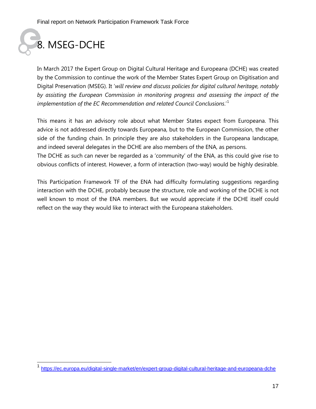

In March 2017 the Expert Group on Digital Cultural Heritage and Europeana (DCHE) was created by the Commission to continue the work of the Member States Expert Group on Digitisation and Digital Preservation (MSEG). It '*will review and discuss policies for digital cultural heritage, notably by assisting the European Commission in monitoring progress and assessing the impact of the implementation of the EC Recommendation and related Council Conclusions*.'[1](#page-16-0)

This means it has an advisory role about what Member States expect from Europeana. This advice is not addressed directly towards Europeana, but to the European Commission, the other side of the funding chain. In principle they are also stakeholders in the Europeana landscape, and indeed several delegates in the DCHE are also members of the ENA, as persons.

The DCHE as such can never be regarded as a 'community' of the ENA, as this could give rise to obvious conflicts of interest. However, a form of interaction (two-way) would be highly desirable.

This Participation Framework TF of the ENA had difficulty formulating suggestions regarding interaction with the DCHE, probably because the structure, role and working of the DCHE is not well known to most of the ENA members. But we would appreciate if the DCHE itself could reflect on the way they would like to interact with the Europeana stakeholders.

<span id="page-16-0"></span> <sup>1</sup> <https://ec.europa.eu/digital-single-market/en/expert-group-digital-cultural-heritage-and-europeana-dche>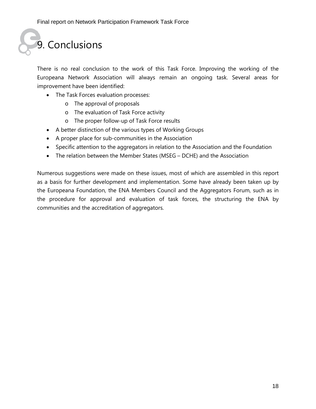# 9. Conclusions

There is no real conclusion to the work of this Task Force. Improving the working of the Europeana Network Association will always remain an ongoing task. Several areas for improvement have been identified:

- The Task Forces evaluation processes:
	- o The approval of proposals
	- o The evaluation of Task Force activity
	- o The proper follow-up of Task Force results
- A better distinction of the various types of Working Groups
- A proper place for sub-communities in the Association
- Specific attention to the aggregators in relation to the Association and the Foundation
- The relation between the Member States (MSEG DCHE) and the Association

Numerous suggestions were made on these issues, most of which are assembled in this report as a basis for further development and implementation. Some have already been taken up by the Europeana Foundation, the ENA Members Council and the Aggregators Forum, such as in the procedure for approval and evaluation of task forces, the structuring the ENA by communities and the accreditation of aggregators.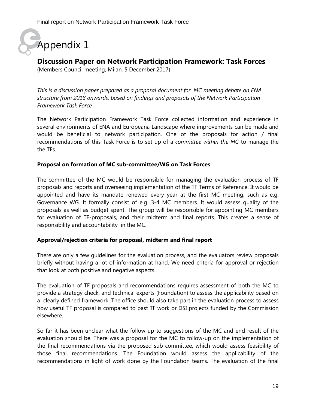Appendix 1

### **Discussion Paper on Network Participation Framework: Task Forces**

(Members Council meeting, Milan, 5 December 2017)

*This is a discussion paper prepared as a proposal document for MC meeting debate on ENA structure from 2018 onwards, based on findings and proposals of the Network Participation Framework Task Force*

The Network Participation Framework Task Force collected information and experience in several environments of ENA and Europeana Landscape where improvements can be made and would be beneficial to network participation. One of the proposals for action / final recommendations of this Task Force is to set up of a *committee within the MC* to manage the the TFs.

#### **Proposal on formation of MC sub-committee/WG on Task Forces**

The-committee of the MC would be responsible for managing the evaluation process of TF proposals and reports and overseeing implementation of the TF Terms of Reference. It would be appointed and have its mandate renewed every year at the first MC meeting, such as e.g. Governance WG. It formally consist of e.g. 3-4 MC members. It would assess quality of the proposals as well as budget spent. The group will be responsible for appointing MC members for evaluation of TF-proposals, and their midterm and final reports. This creates a sense of responsibility and accountability in the MC.

#### **Approval/rejection criteria for proposal, midterm and final report**

There are only a few guidelines for the evaluation process, and the evaluators review proposals briefly without having a lot of information at hand. We need criteria for approval or rejection that look at both positive and negative aspects.

The evaluation of TF proposals and recommendations requires assessment of both the MC to provide a strategy check, and technical experts (Foundation) to assess the applicability based on a clearly defined framework. The office should also take part in the evaluation process to assess how useful TF proposal is compared to past TF work or DSI projects funded by the Commission elsewhere.

So far it has been unclear what the follow-up to suggestions of the MC and end-result of the evaluation should be. There was a proposal for the MC to follow-up on the implementation of the final recommendations via the proposed sub-committee, which would assess feasibility of those final recommendations. The Foundation would assess the applicability of the recommendations in light of work done by the Foundation teams. The evaluation of the final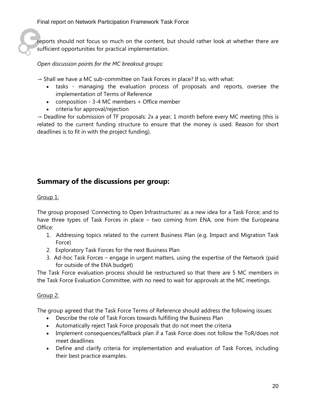reports should not focus so much on the content, but should rather look at whether there are sufficient opportunities for practical implementation.

*Open discussion points for the MC breakout groups:*

 $\rightarrow$  Shall we have a MC sub-committee on Task Forces in place? If so, with what:

- tasks managing the evaluation process of proposals and reports, oversee the implementation of Terms of Reference
- composition 3-4 MC members + Office member
- criteria for approval/rejection

 $\rightarrow$  Deadline for submission of TF proposals: 2x a year, 1 month before every MC meeting (this is related to the current funding structure to ensure that the money is used. Reason for short deadlines is to fit in with the project funding).

### **Summary of the discussions per group:**

#### Group 1:

The group proposed 'Connecting to Open Infrastructures' as a new idea for a Task Force; and to have three types of Task Forces in place – two coming from ENA, one from the Europeana Office:

- 1. Addressing topics related to the current Business Plan (e.g. Impact and Migration Task Force)
- 2. Exploratory Task Forces for the next Business Plan
- 3. Ad-hoc Task Forces engage in urgent matters, using the expertise of the Network (paid for outside of the ENA budget)

The Task Force evaluation process should be restructured so that there are 5 MC members in the Task Force Evaluation Committee, with no need to wait for approvals at the MC meetings.

#### Group 2:

The group agreed that the Task Force Terms of Reference should address the following issues:

- Describe the role of Task Forces towards fulfilling the Business Plan
- Automatically reject Task Force proposals that do not meet the criteria
- Implement consequences/fallback plan if a Task Force does not follow the ToR/does not meet deadlines
- Define and clarify criteria for implementation and evaluation of Task Forces, including their best practice examples.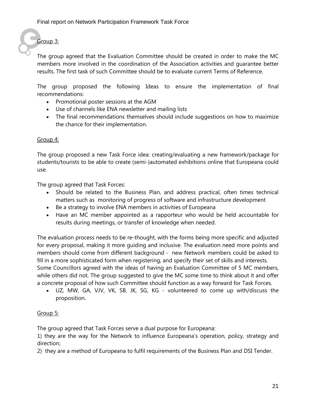Group 3:

The group agreed that the Evaluation Committee should be created in order to make the MC members more involved in the coordination of the Association activities and guarantee better results. The first task of such Committee should be to evaluate current Terms of Reference.

The group proposed the following Ideas to ensure the implementation of final recommendations:

- Promotional poster sessions at the AGM
- Use of channels like ENA newsletter and mailing lists
- The final recommendations themselves should include suggestions on how to maximize the chance for their implementation.

#### Group 4:

The group proposed a new Task Force idea: creating/evaluating a new framework/package for students/tourists to be able to create (semi-)automated exhibitions online that Europeana could use.

The group agreed that Task Forces:

- Should be related to the Business Plan, and address practical, often times technical matters such as monitoring of progress of software and infrastructure development
- Be a strategy to involve ENA members in activities of Europeana
- Have an MC member appointed as a rapporteur who would be held accountable for results during meetings, or transfer of knowledge when needed.

The evaluation process needs to be re-thought, with the forms being more specific and adjusted for every proposal, making it more guiding and inclusive. The evaluation need more points and members should come from different background - new Network members could be asked to fill in a more sophisticated form when registering, and specify their set of skills and interests. Some Councillors agreed with the ideas of having an Evaluation Committee of 5 MC members, while others did not. The group suggested to give the MC some time to think about it and offer a concrete proposal of how such Committee should function as a way forward for Task Forces.

• UZ, MW, GA, VJV, VK, SB, JK, SG, KG - volunteered to come up with/discuss the proposition.

#### Group 5:

The group agreed that Task Forces serve a dual purpose for Europeana:

1) they are the way for the Network to influence Europeana's operation, policy, strategy and direction;

2) they are a method of Europeana to fulfil requirements of the Business Plan and DSI Tender.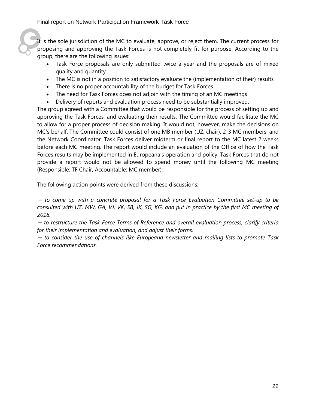It is the sole jurisdiction of the MC to evaluate, approve, or reject them. The current process for proposing and approving the Task Forces is not completely fit for purpose. According to the group, there are the following issues:

- Task Force proposals are only submitted twice a year and the proposals are of mixed quality and quantity
- The MC is not in a position to satisfactory evaluate the (implementation of their) results
- There is no proper accountability of the budget for Task Forces
- The need for Task Forces does not adjoin with the timing of an MC meetings
- Delivery of reports and evaluation process need to be substantially improved.

The group agreed with a Committee that would be responsible for the process of setting up and approving the Task Forces, and evaluating their results. The Committee would facilitate the MC to allow for a proper process of decision making. It would not, however, make the decisions on MC's behalf. The Committee could consist of one MB member (UZ, chair), 2-3 MC members, and the Network Coordinator. Task Forces deliver midterm or final report to the MC latest 2 weeks before each MC meeting. The report would include an evaluation of the Office of how the Task Forces results may be implemented in Europeana's operation and policy. Task Forces that do not provide a report would not be allowed to spend money until the following MC meeting (Responsible: TF Chair, Accountable: MC member).

The following action points were derived from these discussions:

*→ to come up with a concrete proposal for a Task Force Evaluation Committee set-up to be consulted with UZ, MW, GA, VJ, VK, SB, JK, SG, KG, and put in practice by the first MC meeting of 2018.* 

*→ to restructure the Task Force Terms of Reference and overall evaluation process, clarify criteria for their implementation and evaluation, and adjust their forms.*

*→ to consider the use of channels like Europeana newsletter and mailing lists to promote Task Force recommendations.*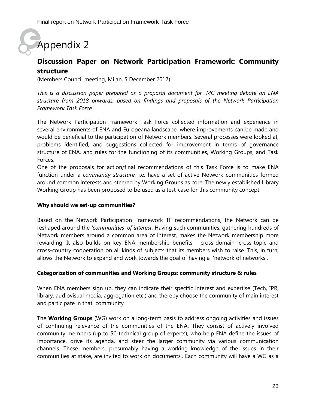## Appendix 2

### **Discussion Paper on Network Participation Framework: Community structure**

(Members Council meeting, Milan, 5 December 2017)

*This is a discussion paper prepared as a proposal document for MC meeting debate on ENA structure from 2018 onwards, based on findings and proposals of the Network Participation Framework Task Force*

The Network Participation Framework Task Force collected information and experience in several environments of ENA and Europeana landscape, where improvements can be made and would be beneficial to the participation of Network members. Several processes were looked at, problems identified, and suggestions collected for improvement in terms of governance structure of ENA, and rules for the functioning of its communities, Working Groups, and Task Forces.

One of the proposals for action/final recommendations of this Task Force is to make ENA function under a *community structure*, i.e. have a set of active Network communities formed around common interests and steered by Working Groups as core. The newly established Library Working Group has been proposed to be used as a test-case for this community concept.

#### **Why should we set-up communities?**

Based on the Network Participation Framework TF recommendations, the Network can be reshaped around the *'communities' of interest.* Having such communities, gathering hundreds of Network members around a common area of interest, makes the Network membership more rewarding. It also builds on key ENA membership benefits - cross-domain, cross-topic and cross-country cooperation on all kinds of subjects that its members wish to raise. This, in turn, allows the Network to expand and work towards the goal of having a 'network of networks'.

#### **Categorization of communities and Working Groups: community structure & rules**

When ENA members sign up, they can indicate their specific interest and expertise (Tech, IPR, library, audiovisual media, aggregation etc.) and thereby choose the community of main interest and participate in that community .

The **Working Groups** (WG) work on a long-term basis to address ongoing activities and issues of continuing relevance of the communities of the ENA. They consist of actively involved community members (up to 50 technical group of experts), who help ENA define the issues of importance, drive its agenda, and steer the larger community via various communication channels. These members, presumably having a working knowledge of the issues in their communities at stake, are invited to work on documents,. Each community will have a WG as a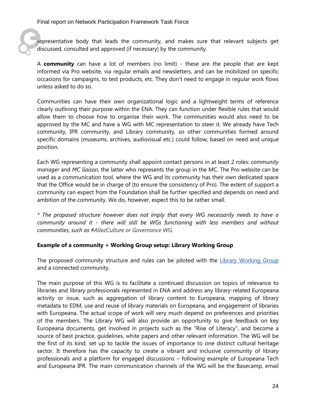representative body that leads the community, and makes sure that relevant subjects get discussed, consulted and approved (if necessary) by the community.

A **community** can have a lot of members (no limit) - these are the people that are kept informed via Pro website, via regular emails and newsletters, and can be mobilized on specific occasions for campaigns, to test products, etc. They don't need to engage in regular work flows unless asked to do so.

Communities can have their own organizational logic and a lightweight terms of reference clearly outlining their purpose within the ENA. They can function under flexible rules that would allow them to choose how to organise their work. The communities would also need to be approved by the MC and have a WG with MC representation to steer it. We already have Tech community, IPR community, and Library community, so other communities formed around specific domains (museums, archives, audiovisual etc.) could follow, based on need and unique position.

Each WG representing a community shall appoint contact persons in at least 2 roles: *community manager* and *MC liaison*, the latter who represents the group in the MC. The Pro website can be used as a communication tool, where the WG and its community has their own dedicated space that the Office would be in charge of (to ensure the consistency of Pro). The extent of support a community can expect from the Foundation shall be further specified and depends on need and ambition of the community. We do, however, expect this to be rather small.

*\* The proposed structure however does not imply that every WG necessarily needs to have a community around it - there will still be WGs functioning with less members and without communities, such as #AllezCulture or Governance WG.*

#### **Example of a community + Working Group setup: Library Working Group**

The proposed community structure and rules can be piloted with the [Library Working Group](https://pro.europeana.eu/project/library-wg) and a connected community.

The main purpose of this WG is to facilitate a continued discussion on topics of relevance to libraries and library professionals represented in ENA and address any library-related Europeana activity or issue, such as aggregation of library content to Europeana, mapping of library metadata to EDM, use and reuse of library materials on Europeana, and engagement of libraries with Europeana. The actual scope of work will very much depend on preferences and priorities of the members. The Library WG will also provide an opportunity to give feedback on key Europeana documents, get involved in projects such as the "Rise of Literacy", and become a source of best practice, guidelines, white papers and other relevant information. The WG will be the first of its kind, set up to tackle the issues of importance to one distinct cultural heritage sector. It therefore has the capacity to create a vibrant and inclusive community of library professionals and a platform for engaged discussions – following example of Europeana Tech and Europeana IPR. The main communication channels of the WG will be the Basecamp, email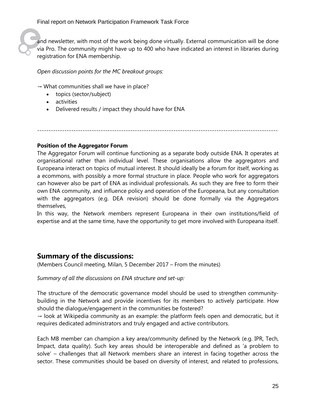and newsletter, with most of the work being done virtually. External communication will be done via Pro. The community might have up to 400 who have indicated an interest in libraries during registration for ENA membership.

*Open discussion points for the MC breakout groups:*

 $\rightarrow$  What communities shall we have in place?

- topics (sector/subject)
- activities
- Delivered results / impact they should have for ENA

----------------------------------------------------------------------------------------------------------

#### **Position of the Aggregator Forum**

The Aggregator Forum will continue functioning as a separate body outside ENA. It operates at organisational rather than individual level. These organisations allow the aggregators and Europeana interact on topics of mutual interest. It should ideally be a forum for itself, working as a ecommons, with possibly a more formal structure in place. People who work for aggregators can however also be part of ENA as individual professionals. As such they are free to form their own ENA community, and influence policy and operation of the Europeana, but any consultation with the aggregators (e.g. DEA revision) should be done formally via the Aggregators themselves,

In this way, the Network members represent Europeana in their own institutions/field of expertise and at the same time, have the opportunity to get more involved with Europeana itself.

### **Summary of the discussions:**

(Members Council meeting, Milan, 5 December 2017 – From the minutes)

*Summary of all the discussions on ENA structure and set-up:*

The structure of the democratic governance model should be used to strengthen communitybuilding in the Network and provide incentives for its members to actively participate. How should the dialogue/engagement in the communities be fostered?

 $\rightarrow$  look at Wikipedia community as an example: the platform feels open and democratic, but it requires dedicated administrators and truly engaged and active contributors.

Each MB member can champion a key area/community defined by the Network (e.g. IPR, Tech, Impact, data quality). Such key areas should be interoperable and defined as 'a problem to solve' – challenges that all Network members share an interest in facing together across the sector. These communities should be based on diversity of interest, and related to professions,